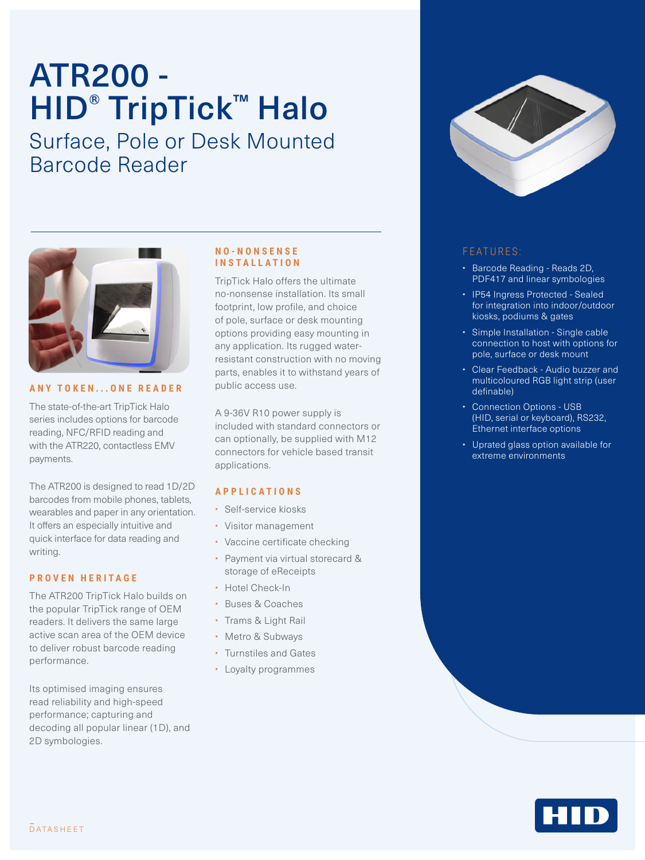# ATR200 - HID<sup>®</sup> TripTick™ Halo

Surface, Pole or Desk Mounted Barcode Reader



#### **ANY TOKEN...ONE READER**

The state-of-the-art TripTick Halo series includes options for barcode reading, NFC/RFID reading and with the ATR220, contactless EMV payments.

The ATR200 is designed to read 1D/2D barcodes from mobile phones, tablets, wearables and paper in any orientation. It offers an especially intuitive and quick interface for data reading and writing.

#### **PROVEN HERITAGE**

The ATR200 TripTick Halo builds on the popular TripTick range of OEM readers. It delivers the same large active scan area of the OEM device to deliver robust barcode reading performance.

Its optimised imaging ensures read reliability and high-speed performance; capturing and decoding all popular linear (1D), and 2D symbologies.

#### **N O - N O N S E N S E INSTALLATION**

TripTick Halo offers the ultimate no-nonsense installation. Its small footprint, low profile, and choice of pole, surface or desk mounting options providing easy mounting in any application. Its rugged waterresistant construction with no moving parts, enables it to withstand years of public access use.

A 9-36V R10 power supply is included with standard connectors or can optionally, be supplied with M12 connectors for vehicle based transit applications.

#### **APPLICATIONS**

- Self-service kiosks
- Visitor management
- Vaccine certificate checking
- Payment via virtual storecard & storage of eReceipts
- Hotel Check-In
- Buses & Coaches
- Trams & Light Rail
- Metro & Subways
- Turnstiles and Gates
- Loyalty programmes



### FEATURES:

- Barcode Reading Reads 2D, PDF417 and linear symbologies
- IP54 Ingress Protected Sealed for integration into indoor/outdoor kiosks, podiums & gates
- Simple Installation Single cable connection to host with options for pole, surface or desk mount
- Clear Feedback Audio buzzer and multicoloured RGB light strip (user definable)
- Connection Options USB (HID, serial or keyboard), RS232, Ethernet interface options
- Uprated glass option available for extreme environments